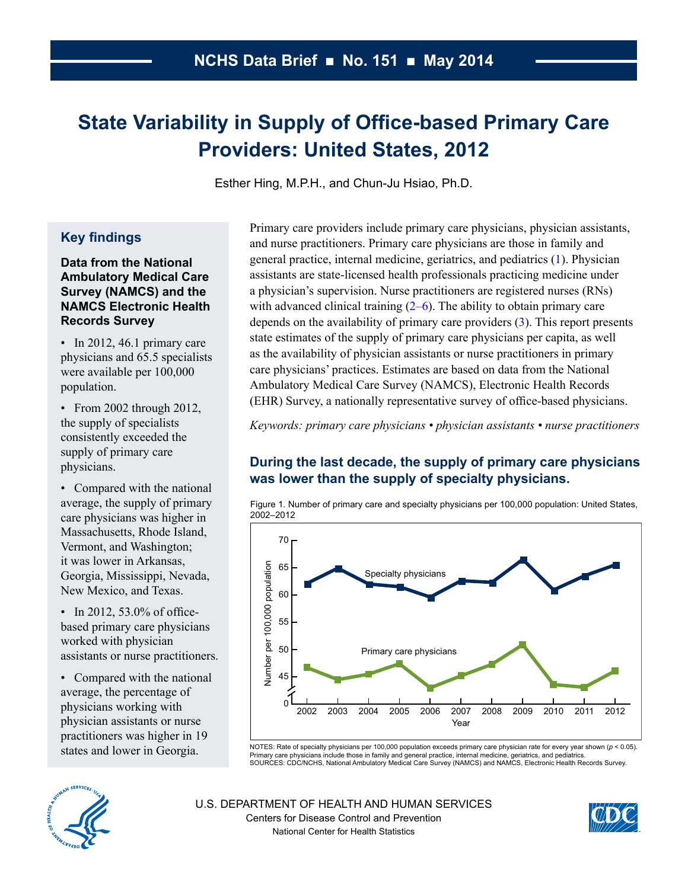# <span id="page-0-0"></span>**State Variability in Supply of Office-based Primary Care Providers: United States, 2012**

Esther Hing, M.P.H., and Chun-Ju Hsiao, Ph.D.

# **Key findings**

#### **Data from the National Ambulatory Medical Care Survey (NAMCS) and the NAMCS Electronic Health Records Survey**

• In 2012, 46.1 primary care physicians and 65.5 specialists were available per 100,000 population.

• From 2002 through 2012, the supply of specialists consistently exceeded the supply of primary care physicians.

• Compared with the national average, the supply of primary care physicians was higher in Massachusetts, Rhode Island, Vermont, and Washington; it was lower in Arkansas, Georgia, Mississippi, Nevada, New Mexico, and Texas.

• In 2012, 53.0% of officebased primary care physicians worked with physician assistants or nurse practitioners.

• Compared with the national average, the percentage of physicians working with physician assistants or nurse practitioners was higher in 19 states and lower in Georgia.

Primary care providers include primary care physicians, physician assistants, and nurse practitioners. Primary care physicians are those in family and general practice, internal medicine, geriatrics, and pediatrics [\(1\)](#page-6-0). Physician assistants are state-licensed health professionals practicing medicine under a physician's supervision. Nurse practitioners are registered nurses (RNs) with advanced clinical training  $(2-6)$ . The ability to obtain primary care depends on the availability of primary care providers [\(3\)](#page-6-0). This report presents state estimates of the supply of primary care physicians per capita, as well as the availability of physician assistants or nurse practitioners in primary care physicians' practices. Estimates are based on data from the National Ambulatory Medical Care Survey (NAMCS), Electronic Health Records (EHR) Survey, a nationally representative survey of office-based physicians.

*Keywords: primary care physicians • physician assistants • nurse practitioners*

# **During the last decade, the supply of primary care physicians was lower than the supply of specialty physicians.**





NOTES: Rate of specialty physicians per 100,000 population exceeds primary care physician rate for every year shown (*p* < 0.05). Primary care physicians include those in family and general practice, internal medicine, geriatrics, and pediatrics.<br>SOURCES: CDC/NCHS, National Ambulatory Medical Care Survey (NAMCS) and NAMCS, Electronic Health Records S



U.S. DEPARTMENT OF HEALTH AND HUMAN SERVICES Centers for Disease Control and Prevention National Center for Health Statistics

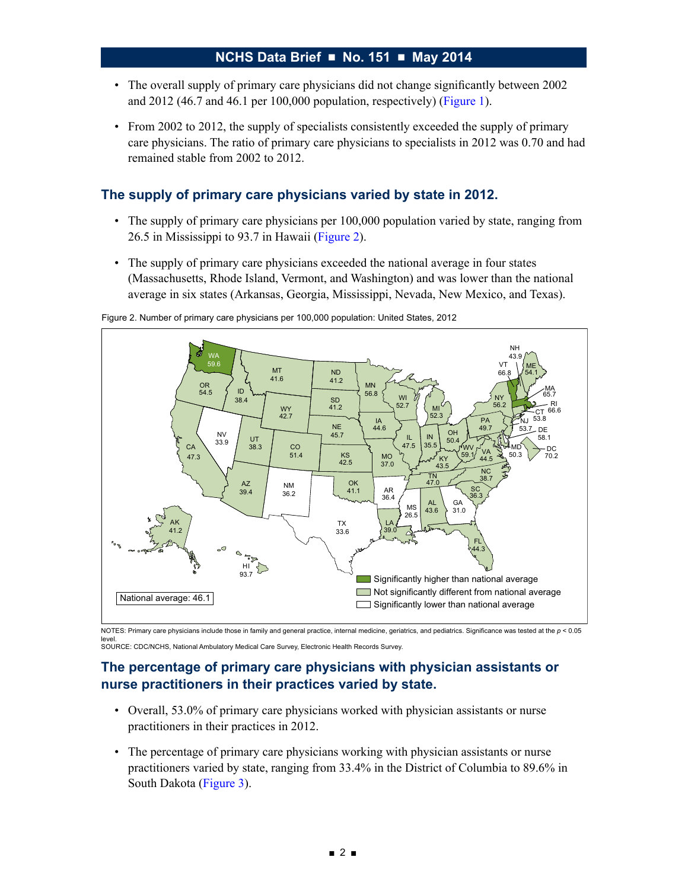- The overall supply of primary care physicians did not change significantly between 2002 and 2012 (46.7 and 46.1 per 100,000 population, respectively) [\(Figure 1](#page-0-0)).
- From 2002 to 2012, the supply of specialists consistently exceeded the supply of primary care physicians. The ratio of primary care physicians to specialists in 2012 was 0.70 and had remained stable from 2002 to 2012.

# **The supply of primary care physicians varied by state in 2012.**

- The supply of primary care physicians per 100,000 population varied by state, ranging from 26.5 in Mississippi to 93.7 in Hawaii (Figure 2).
- The supply of primary care physicians exceeded the national average in four states (Massachusetts, Rhode Island, Vermont, and Washington) and was lower than the national average in six states (Arkansas, Georgia, Mississippi, Nevada, New Mexico, and Texas).



Figure 2. Number of primary care physicians per 100,000 population: United States, 2012

NOTES: Primary care physicians include those in family and general practice, internal medicine, geriatrics, and pediatrics. Significance was tested at the *p* < 0.05 level. SOURCE: CDC/NCHS, National Ambulatory Medical Care Survey, Electronic Health Records Survey.

# **The percentage of primary care physicians with physician assistants or nurse practitioners in their practices varied by state.**

- Overall, 53.0% of primary care physicians worked with physician assistants or nurse practitioners in their practices in 2012.
- The percentage of primary care physicians working with physician assistants or nurse practitioners varied by state, ranging from 33.4% in the District of Columbia to 89.6% in South Dakota ([Figure 3\)](#page-2-0).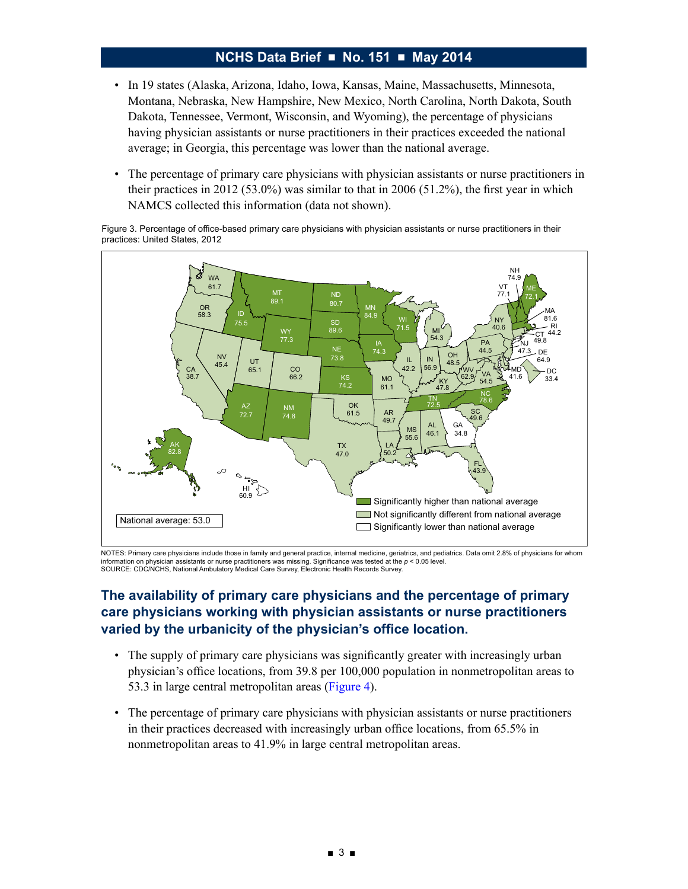- <span id="page-2-0"></span>• In 19 states (Alaska, Arizona, Idaho, Iowa, Kansas, Maine, Massachusetts, Minnesota, Montana, Nebraska, New Hampshire, New Mexico, North Carolina, North Dakota, South Dakota, Tennessee, Vermont, Wisconsin, and Wyoming), the percentage of physicians having physician assistants or nurse practitioners in their practices exceeded the national average; in Georgia, this percentage was lower than the national average.
- The percentage of primary care physicians with physician assistants or nurse practitioners in their practices in 2012 (53.0%) was similar to that in 2006 (51.2%), the first year in which NAMCS collected this information (data not shown).

Figure 3. Percentage of office-based primary care physicians with physician assistants or nurse practitioners in their practices: United States, 2012



NOTES: Primary care physicians include those in family and general practice, internal medicine, geriatrics, and pediatrics. Data omit 2.8% of physicians for whom information on physician assistants or nurse practitioners was missing. Significance was tested at the *p* < 0.05 level. SOURCE: CDC/NCHS, National Ambulatory Medical Care Survey, Electronic Health Records Survey.

# **The availability of primary care physicians and the percentage of primary care physicians working with physician assistants or nurse practitioners varied by the urbanicity of the physician's office location.**

- The supply of primary care physicians was significantly greater with increasingly urban physician's office locations, from 39.8 per 100,000 population in nonmetropolitan areas to 53.3 in large central metropolitan areas [\(Figure 4\)](#page-3-0).
- The percentage of primary care physicians with physician assistants or nurse practitioners in their practices decreased with increasingly urban office locations, from 65.5% in nonmetropolitan areas to 41.9% in large central metropolitan areas.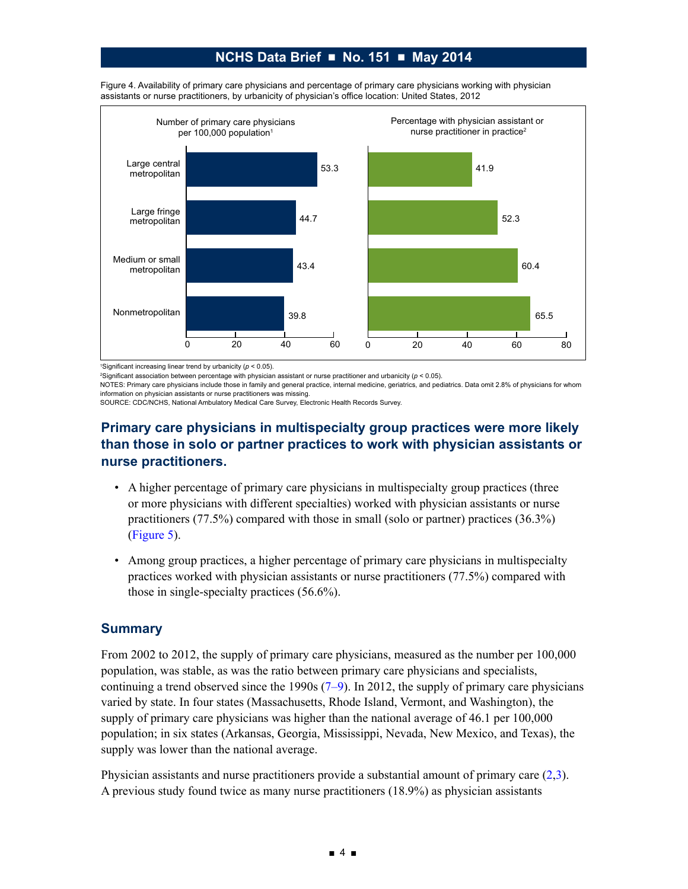

<span id="page-3-0"></span>Figure 4. Availability of primary care physicians and percentage of primary care physicians working with physician assistants or nurse practitioners, by urbanicity of physician's office location: United States, 2012

1 Significant increasing linear trend by urbanicity (*p* < 0.05).

2 Significant association between percentage with physician assistant or nurse practitioner and urbanicity (*p* < 0.05).

NOTES: Primary care physicians include those in family and general practice, internal medicine, geriatrics, and pediatrics. Data omit 2.8% of physicians for whom information on physician assistants or nurse practitioners was missing.

SOURCE: CDC/NCHS, National Ambulatory Medical Care Survey, Electronic Health Records Survey.

# **Primary care physicians in multispecialty group practices were more likely than those in solo or partner practices to work with physician assistants or nurse practitioners.**

- A higher percentage of primary care physicians in multispecialty group practices (three or more physicians with different specialties) worked with physician assistants or nurse practitioners (77.5%) compared with those in small (solo or partner) practices (36.3%) [\(Figure 5\)](#page-4-0).
- Among group practices, a higher percentage of primary care physicians in multispecialty practices worked with physician assistants or nurse practitioners (77.5%) compared with those in single-specialty practices (56.6%).

### **Summary**

From 2002 to 2012, the supply of primary care physicians, measured as the number per 100,000 population, was stable, as was the ratio between primary care physicians and specialists, continuing a trend observed since the 1990s  $(7-9)$ . In 2012, the supply of primary care physicians varied by state. In four states (Massachusetts, Rhode Island, Vermont, and Washington), the supply of primary care physicians was higher than the national average of 46.1 per 100,000 population; in six states (Arkansas, Georgia, Mississippi, Nevada, New Mexico, and Texas), the supply was lower than the national average.

Physician assistants and nurse practitioners provide a substantial amount of primary care (2,[3\)](#page-6-0). A previous study found twice as many nurse practitioners (18.9%) as physician assistants

■ 4 ■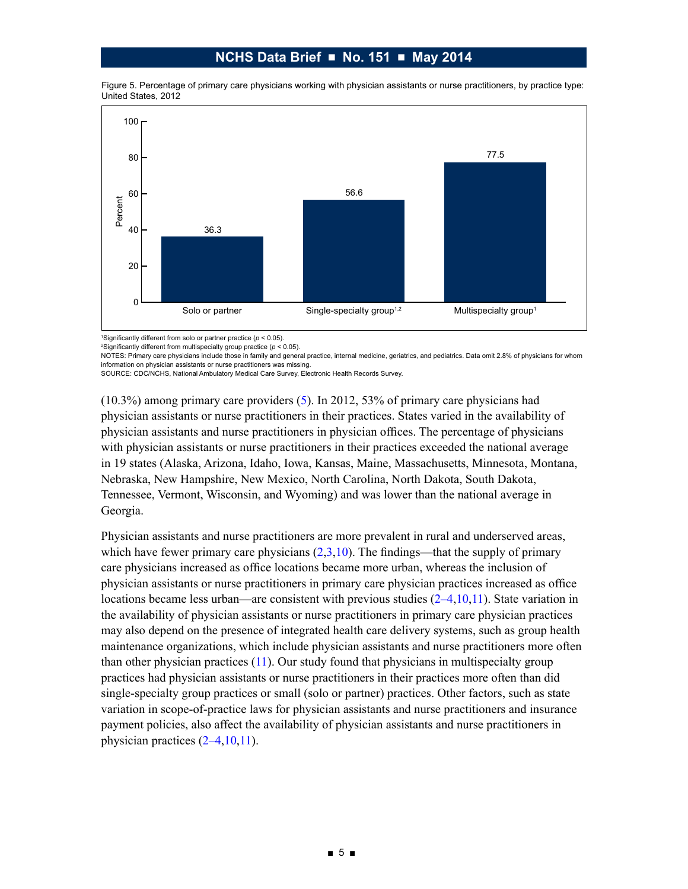<span id="page-4-0"></span>



1 Significantly different from solo or partner practice (*p* < 0.05).

NOTES: Primary care physicians include those in family and general practice, internal medicine, geriatrics, and pediatrics. Data omit 2.8% of physicians for whom information on physician assistants or nurse practitioners was missing.<br>SOURCE: CDC/NCHS, National Ambulatory Medical Care Survey, Electronic Health Records Survey.

(10.3%) among primary care providers ([5\)](#page-6-0). In 2012, 53% of primary care physicians had physician assistants or nurse practitioners in their practices. States varied in the availability of physician assistants and nurse practitioners in physician offices. The percentage of physicians with physician assistants or nurse practitioners in their practices exceeded the national average in 19 states (Alaska, Arizona, Idaho, Iowa, Kansas, Maine, Massachusetts, Minnesota, Montana, Nebraska, New Hampshire, New Mexico, North Carolina, North Dakota, South Dakota, Tennessee, Vermont, Wisconsin, and Wyoming) and was lower than the national average in Georgia.

Physician assistants and nurse practitioners are more prevalent in rural and underserved areas, which have fewer primary care physicians  $(2,3,10)$  $(2,3,10)$  $(2,3,10)$  $(2,3,10)$ . The findings—that the supply of primary care physicians increased as office locations became more urban, whereas the inclusion of physician assistants or nurse practitioners in primary care physician practices increased as office locations became less urban—are consistent with previous studies  $(2-4,10,11)$  $(2-4,10,11)$ . State variation in the availability of physician assistants or nurse practitioners in primary care physician practices may also depend on the presence of integrated health care delivery systems, such as group health maintenance organizations, which include physician assistants and nurse practitioners more often than other physician practices ([11\)](#page-7-0). Our study found that physicians in multispecialty group practices had physician assistants or nurse practitioners in their practices more often than did single-specialty group practices or small (solo or partner) practices. Other factors, such as state variation in scope-of-practice laws for physician assistants and nurse practitioners and insurance payment policies, also affect the availability of physician assistants and nurse practitioners in physician practices  $(2-4,10,11)$  $(2-4,10,11)$ .

<sup>2</sup> Significantly different from multispecialty group practice (*p* < 0.05).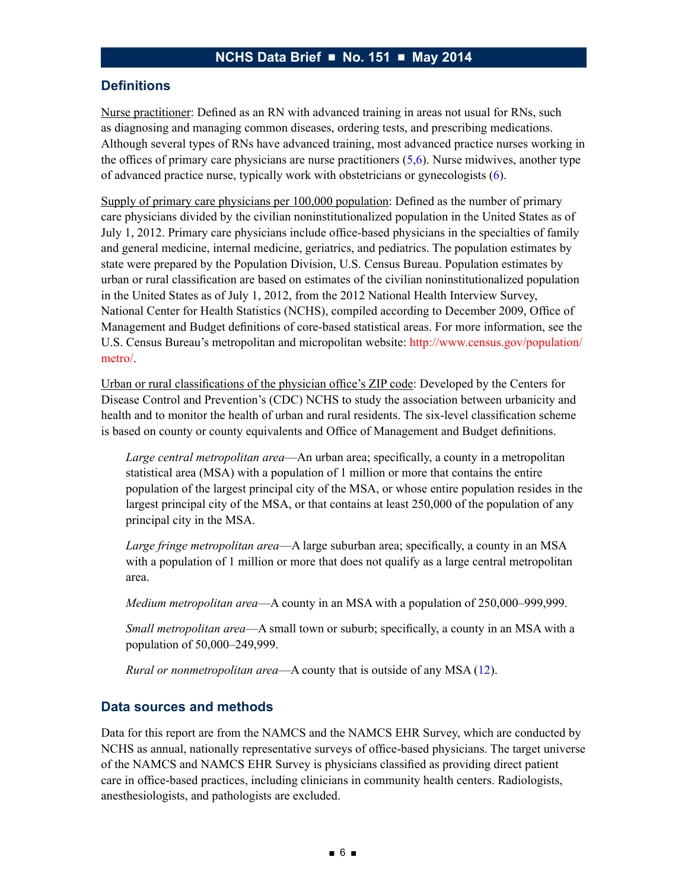#### **Definitions**

Nurse practitioner: Defined as an RN with advanced training in areas not usual for RNs, such as diagnosing and managing common diseases, ordering tests, and prescribing medications. Although several types of RNs have advanced training, most advanced practice nurses working in the offices of primary care physicians are nurse practitioners ([5,](#page-6-0)[6\)](#page-7-0). Nurse midwives, another type of advanced practice nurse, typically work with obstetricians or gynecologists ([6\)](#page-7-0).

Supply of primary care physicians per 100,000 population: Defined as the number of primary care physicians divided by the civilian noninstitutionalized population in the United States as of July 1, 2012. Primary care physicians include office-based physicians in the specialties of family and general medicine, internal medicine, geriatrics, and pediatrics. The population estimates by state were prepared by the Population Division, U.S. Census Bureau. Population estimates by urban or rural classification are based on estimates of the civilian noninstitutionalized population in the United States as of July 1, 2012, from the 2012 National Health Interview Survey, National Center for Health Statistics (NCHS), compiled according to December 2009, Office of Management and Budget definitions of core-based statistical areas. For more information, see the U.S. Census Bureau's metropolitan and micropolitan website: [http://www.census.gov/population/](http://www.census.gov/population/metro/) [metro/.](http://www.census.gov/population/metro/)

Urban or rural classifications of the physician office's ZIP code: Developed by the Centers for Disease Control and Prevention's (CDC) NCHS to study the association between urbanicity and health and to monitor the health of urban and rural residents. The six-level classification scheme is based on county or county equivalents and Office of Management and Budget definitions.

*Large central metropolitan area*—An urban area; specifically, a county in a metropolitan statistical area (MSA) with a population of 1 million or more that contains the entire population of the largest principal city of the MSA, or whose entire population resides in the largest principal city of the MSA, or that contains at least 250,000 of the population of any principal city in the MSA.

*Large fringe metropolitan area*—A large suburban area; specifically, a county in an MSA with a population of 1 million or more that does not qualify as a large central metropolitan area.

*Medium metropolitan area*—A county in an MSA with a population of 250,000–999,999.

*Small metropolitan area*—A small town or suburb; specifically, a county in an MSA with a population of 50,000–249,999.

*Rural or nonmetropolitan area*—A county that is outside of any MSA ([12\)](#page-7-0).

#### **Data sources and methods**

Data for this report are from the NAMCS and the NAMCS EHR Survey, which are conducted by NCHS as annual, nationally representative surveys of office-based physicians. The target universe of the NAMCS and NAMCS EHR Survey is physicians classified as providing direct patient care in office-based practices, including clinicians in community health centers. Radiologists, anesthesiologists, and pathologists are excluded.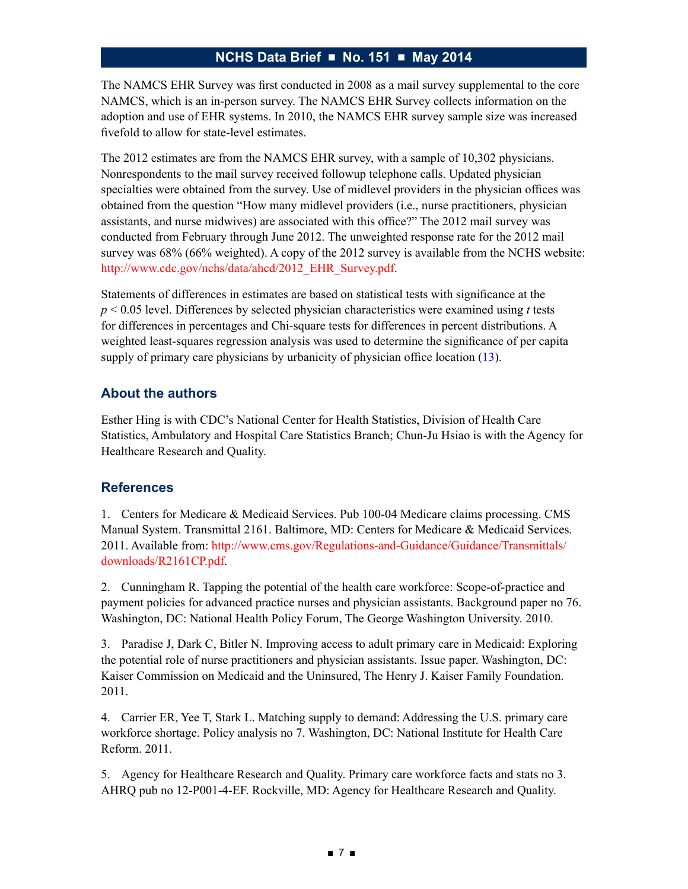<span id="page-6-0"></span>The NAMCS EHR Survey was first conducted in 2008 as a mail survey supplemental to the core NAMCS, which is an in-person survey. The NAMCS EHR Survey collects information on the adoption and use of EHR systems. In 2010, the NAMCS EHR survey sample size was increased fivefold to allow for state-level estimates.

The 2012 estimates are from the NAMCS EHR survey, with a sample of 10,302 physicians. Nonrespondents to the mail survey received followup telephone calls. Updated physician specialties were obtained from the survey. Use of midlevel providers in the physician offices was obtained from the question "How many midlevel providers (i.e., nurse practitioners, physician assistants, and nurse midwives) are associated with this office?" The 2012 mail survey was conducted from February through June 2012. The unweighted response rate for the 2012 mail survey was 68% (66% weighted). A copy of the 2012 survey is available from the NCHS website: http://www.cdc.gov/nchs/data/ahcd/2012\_EHR\_Survey.pdf.

Statements of differences in estimates are based on statistical tests with significance at the *p* < 0.05 level. Differences by selected physician characteristics were examined using *t* tests for differences in percentages and Chi-square tests for differences in percent distributions. A weighted least-squares regression analysis was used to determine the significance of per capita supply of primary care physicians by urbanicity of physician office location ([13\)](#page-7-0).

### **About the authors**

Esther Hing is with CDC's National Center for Health Statistics, Division of Health Care Statistics, Ambulatory and Hospital Care Statistics Branch; Chun-Ju Hsiao is with the Agency for Healthcare Research and Quality.

### **References**

1. Centers for Medicare & Medicaid Services. Pub 100-04 Medicare claims processing. CMS Manual System. Transmittal 2161. Baltimore, MD: Centers for Medicare & Medicaid Services. 2011. Available from: [http://www.cms.gov/Regulations-and-Guidance/Guidance/Transmittals/](http://www.cms.gov/Regulations-and-Guidance/Guidance/Transmittals/downloads/R2161CP.pdf) [downloads/R2161CP.pdf.](http://www.cms.gov/Regulations-and-Guidance/Guidance/Transmittals/downloads/R2161CP.pdf)

2. Cunningham R. Tapping the potential of the health care workforce: Scope-of-practice and payment policies for advanced practice nurses and physician assistants. Background paper no 76. Washington, DC: National Health Policy Forum, The George Washington University. 2010.

3. Paradise J, Dark C, Bitler N. Improving access to adult primary care in Medicaid: Exploring the potential role of nurse practitioners and physician assistants. Issue paper. Washington, DC: Kaiser Commission on Medicaid and the Uninsured, The Henry J. Kaiser Family Foundation. 2011.

4. Carrier ER, Yee T, Stark L. Matching supply to demand: Addressing the U.S. primary care workforce shortage. Policy analysis no 7. Washington, DC: National Institute for Health Care Reform. 2011.

5. Agency for Healthcare Research and Quality. Primary care workforce facts and stats no 3. AHRQ pub no 12-P001-4-EF. Rockville, MD: Agency for Healthcare Research and Quality.